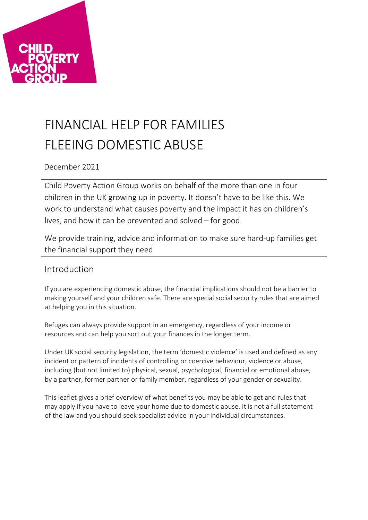

# FINANCIAL HELP FOR FAMILIES FLEEING DOMESTIC ABUSE

December 2021

Child Poverty Action Group works on behalf of the more than one in four children in the UK growing up in poverty. It doesn't have to be like this. We work to understand what causes poverty and the impact it has on children's lives, and how it can be prevented and solved – for good.

We provide training, advice and information to make sure hard-up families get the financial support they need.

# Introduction

If you are experiencing domestic abuse, the financial implications should not be a barrier to making yourself and your children safe. There are special social security rules that are aimed at helping you in this situation.

Refuges can always provide support in an emergency, regardless of your income or resources and can help you sort out your finances in the longer term.

Under UK social security legislation, the term 'domestic violence' is used and defined as any incident or pattern of incidents of controlling or coercive behaviour, violence or abuse, including (but not limited to) physical, sexual, psychological, financial or emotional abuse, by a partner, former partner or family member, regardless of your gender or sexuality.

This leaflet gives a brief overview of what benefits you may be able to get and rules that may apply if you have to leave your home due to domestic abuse. It is not a full statement of the law and you should seek specialist advice in your individual circumstances.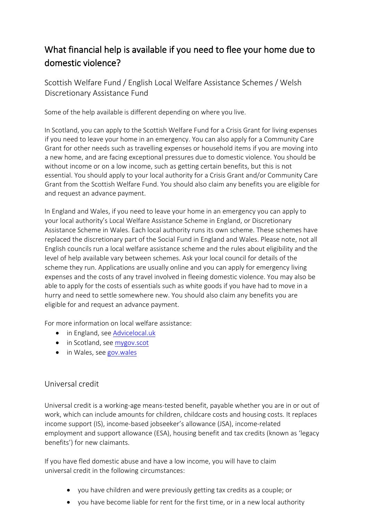# What financial help is available if you need to flee your home due to domestic violence?

Scottish Welfare Fund / English Local Welfare Assistance Schemes / Welsh Discretionary Assistance Fund

Some of the help available is different depending on where you live.

In Scotland, you can apply to the Scottish Welfare Fund for a Crisis Grant for living expenses if you need to leave your home in an emergency. You can also apply for a Community Care Grant for other needs such as travelling expenses or household items if you are moving into a new home, and are facing exceptional pressures due to domestic violence. You should be without income or on a low income, such as getting certain benefits, but this is not essential. You should apply to your local authority for a Crisis Grant and/or Community Care Grant from the Scottish Welfare Fund. You should also claim any benefits you are eligible for and request an advance payment.

In England and Wales, if you need to leave your home in an emergency you can apply to your local authority's Local Welfare Assistance Scheme in England, or Discretionary Assistance Scheme in Wales. Each local authority runs its own scheme. These schemes have replaced the discretionary part of the Social Fund in England and Wales. Please note, not all English councils run a local welfare assistance scheme and the rules about eligibility and the level of help available vary between schemes. Ask your local council for details of the scheme they run. Applications are usually online and you can apply for emergency living expenses and the costs of any travel involved in fleeing domestic violence. You may also be able to apply for the costs of essentials such as white goods if you have had to move in a hurry and need to settle somewhere new. You should also claim any benefits you are eligible for and request an advance payment.

For more information on local welfare assistance:

- in England, see [Advicelocal.uk](https://advicelocal.uk/welfare-benefits)
- in Scotland, see [mygov.scot](https://www.mygov.scot/scottish-welfare-fund)
- in Wales, see [gov.wales](https://gov.wales/discretionary-assistance-fund-daf)

### Universal credit

Universal credit is a working-age means-tested benefit, payable whether you are in or out of work, which can include amounts for children, childcare costs and housing costs. It replaces income support (IS), income-based jobseeker's allowance (JSA), income-related employment and support allowance (ESA), housing benefit and tax credits (known as 'legacy benefits') for new claimants.

If you have fled domestic abuse and have a low income, you will have to claim universal credit in the following circumstances:

- you have children and were previously getting tax credits as a couple; or
- you have become liable for rent for the first time, or in a new local authority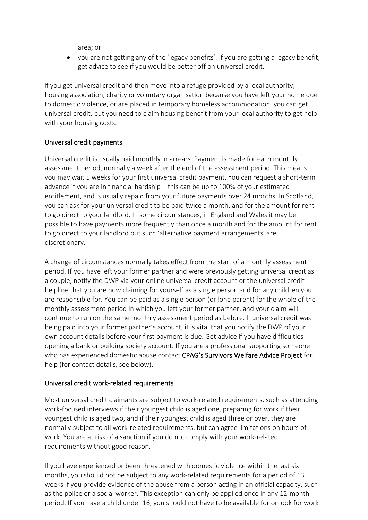area; or

• you are not getting any of the 'legacy benefits'. If you are getting a legacy benefit, get advice to see if you would be better off on universal credit.

If you get universal credit and then move into a refuge provided by a local authority, housing association, charity or voluntary organisation because you have left your home due to domestic violence, or are placed in temporary homeless accommodation, you can get universal credit, but you need to claim housing benefit from your local authority to get help with your housing costs.

#### Universal credit payments

Universal credit is usually paid monthly in arrears. Payment is made for each monthly assessment period, normally a week after the end of the assessment period. This means you may wait 5 weeks for your first universal credit payment. You can request a short-term advance if you are in financial hardship – this can be up to 100% of your estimated entitlement, and is usually repaid from your future payments over 24 months. In Scotland, you can ask for your universal credit to be paid twice a month, and for the amount for rent to go direct to your landlord. In some circumstances, in England and Wales it may be possible to have payments more frequently than once a month and for the amount for rent to go direct to your landlord but such 'alternative payment arrangements' are discretionary.

A change of circumstances normally takes effect from the start of a monthly assessment period. If you have left your former partner and were previously getting universal credit as a couple, notify the DWP via your online universal credit account or the universal credit helpline that you are now claiming for yourself as a single person and for any children you are responsible for. You can be paid as a single person (or lone parent) for the whole of the monthly assessment period in which you left your former partner, and your claim will continue to run on the same monthly assessment period as before. If universal credit was being paid into your former partner's account, it is vital that you notify the DWP of your own account details before your first payment is due. Get advice if you have difficulties opening a bank or building society account. If you are a professional supporting someone who has experienced domestic abuse contact CPAG's Survivors Welfare Advice Project for help (for contact details, see below).

#### Universal credit work-related requirements

Most universal credit claimants are subject to work-related requirements, such as attending work-focused interviews if their youngest child is aged one, preparing for work if their youngest child is aged two, and if their youngest child is aged three or over, they are normally subject to all work-related requirements, but can agree limitations on hours of work. You are at risk of a sanction if you do not comply with your work-related requirements without good reason.

If you have experienced or been threatened with domestic violence within the last six months, you should not be subject to any work-related requirements for a period of 13 weeks if you provide evidence of the abuse from a person acting in an official capacity, such as the police or a social worker. This exception can only be applied once in any 12-month period. If you have a child under 16, you should not have to be available for or look for work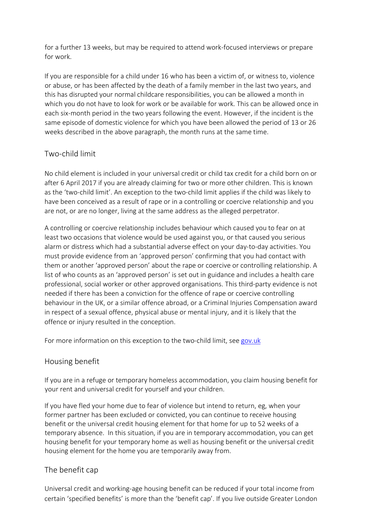for a further 13 weeks, but may be required to attend work-focused interviews or prepare for work.

If you are responsible for a child under 16 who has been a victim of, or witness to, violence or abuse, or has been affected by the death of a family member in the last two years, and this has disrupted your normal childcare responsibilities, you can be allowed a month in which you do not have to look for work or be available for work. This can be allowed once in each six-month period in the two years following the event. However, if the incident is the same episode of domestic violence for which you have been allowed the period of 13 or 26 weeks described in the above paragraph, the month runs at the same time.

### Two-child limit

No child element is included in your universal credit or child tax credit for a child born on or after 6 April 2017 if you are already claiming for two or more other children. This is known as the 'two-child limit'. An exception to the two-child limit applies if the child was likely to have been conceived as a result of rape or in a controlling or coercive relationship and you are not, or are no longer, living at the same address as the alleged perpetrator.

A controlling or coercive relationship includes behaviour which caused you to fear on at least two occasions that violence would be used against you, or that caused you serious alarm or distress which had a substantial adverse effect on your day-to-day activities. You must provide evidence from an 'approved person' confirming that you had contact with them or another 'approved person' about the rape or coercive or controlling relationship. A list of who counts as an 'approved person' is set out in guidance and includes a health care professional, social worker or other approved organisations. This third-party evidence is not needed if there has been a conviction for the offence of rape or coercive controlling behaviour in the UK, or a similar offence abroad, or a Criminal Injuries Compensation award in respect of a sexual offence, physical abuse or mental injury, and it is likely that the offence or injury resulted in the conception.

For more information on this exception to the two-child limit, see [gov.uk](http://www.gov.uk/government/publications/support-for-a-child-conceived-without-your-consent)

### Housing benefit

If you are in a refuge or temporary homeless accommodation, you claim housing benefit for your rent and universal credit for yourself and your children.

If you have fled your home due to fear of violence but intend to return, eg, when your former partner has been excluded or convicted, you can continue to receive housing benefit or the universal credit housing element for that home for up to 52 weeks of a temporary absence. In this situation, if you are in temporary accommodation, you can get housing benefit for your temporary home as well as housing benefit or the universal credit housing element for the home you are temporarily away from.

# The benefit cap

Universal credit and working-age housing benefit can be reduced if your total income from certain 'specified benefits' is more than the 'benefit cap'. If you live outside Greater London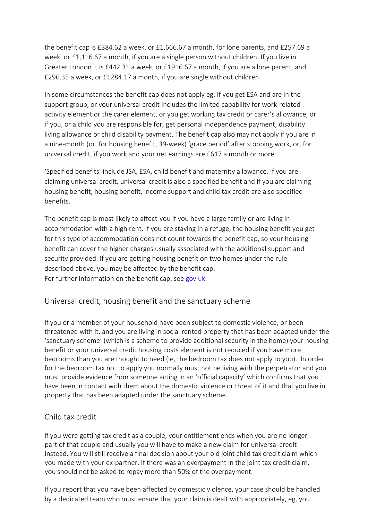the benefit cap is £384.62 a week, or £1,666.67 a month, for lone parents, and £257.69 a week, or £1,116.67 a month, if you are a single person without children. If you live in Greater London it is £442.31 a week, or £1916.67 a month, if you are a lone parent, and £296.35 a week, or £1284.17 a month, if you are single without children.

In some circumstances the benefit cap does not apply eg, if you get ESA and are in the support group, or your universal credit includes the limited capability for work-related activity element or the carer element, or you get working tax credit or carer's allowance, or if you, or a child you are responsible for, get personal independence payment, disability living allowance or child disability payment. The benefit cap also may not apply if you are in a nine-month (or, for housing benefit, 39-week) 'grace period' after stopping work, or, for universal credit, if you work and your net earnings are £617 a month or more.

'Specified benefits' include JSA, ESA, child benefit and maternity allowance. If you are claiming universal credit, universal credit is also a specified benefit and if you are claiming housing benefit, housing benefit, income support and child tax credit are also specified benefits.

The benefit cap is most likely to affect you if you have a large family or are living in accommodation with a high rent. If you are staying in a refuge, the housing benefit you get for this type of accommodation does not count towards the benefit cap, so your housing benefit can cover the higher charges usually associated with the additional support and security provided. If you are getting housing benefit on two homes under the rule described above, you may be affected by the benefit cap. For further information on the benefit cap, see [gov.uk.](https://www.gov.uk/benefit-cap)

# Universal credit, housing benefit and the sanctuary scheme

If you or a member of your household have been subject to domestic violence, or been threatened with it, and you are living in social rented property that has been adapted under the 'sanctuary scheme' (which is a scheme to provide additional security in the home) your housing benefit or your universal credit housing costs element is not reduced if you have more bedrooms than you are thought to need (ie, the bedroom tax does not apply to you). In order for the bedroom tax not to apply you normally must not be living with the perpetrator and you must provide evidence from someone acting in an 'official capacity' which confirms that you have been in contact with them about the domestic violence or threat of it and that you live in property that has been adapted under the sanctuary scheme.

### Child tax credit

If you were getting tax credit as a couple, your entitlement ends when you are no longer part of that couple and usually you will have to make a new claim for universal credit instead. You will still receive a final decision about your old joint child tax credit claim which you made with your ex-partner. If there was an overpayment in the joint tax credit claim, you should not be asked to repay more than 50% of the overpayment.

If you report that you have been affected by domestic violence, your case should be handled by a dedicated team who must ensure that your claim is dealt with appropriately, eg, you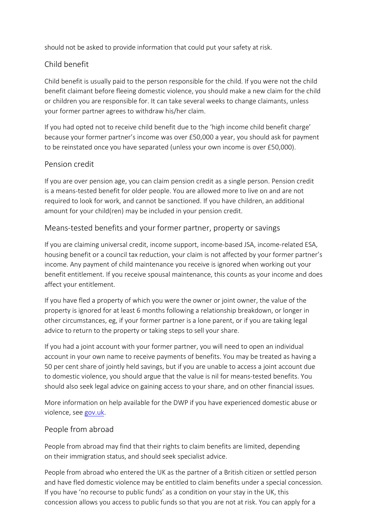should not be asked to provide information that could put your safety at risk.

# Child benefit

Child benefit is usually paid to the person responsible for the child. If you were not the child benefit claimant before fleeing domestic violence, you should make a new claim for the child or children you are responsible for. It can take several weeks to change claimants, unless your former partner agrees to withdraw his/her claim.

If you had opted not to receive child benefit due to the 'high income child benefit charge' because your former partner's income was over £50,000 a year, you should ask for payment to be reinstated once you have separated (unless your own income is over £50,000).

## Pension credit

If you are over pension age, you can claim pension credit as a single person. Pension credit is a means-tested benefit for older people. You are allowed more to live on and are not required to look for work, and cannot be sanctioned. If you have children, an additional amount for your child(ren) may be included in your pension credit.

## Means-tested benefits and your former partner, property or savings

If you are claiming universal credit, income support, income-based JSA, income-related ESA, housing benefit or a council tax reduction, your claim is not affected by your former partner's income. Any payment of child maintenance you receive is ignored when working out your benefit entitlement. If you receive spousal maintenance, this counts as your income and does affect your entitlement.

If you have fled a property of which you were the owner or joint owner, the value of the property is ignored for at least 6 months following a relationship breakdown, or longer in other circumstances, eg, if your former partner is a lone parent, or if you are taking legal advice to return to the property or taking steps to sell your share.

If you had a joint account with your former partner, you will need to open an individual account in your own name to receive payments of benefits. You may be treated as having a 50 per cent share of jointly held savings, but if you are unable to access a joint account due to domestic violence, you should argue that the value is nil for means-tested benefits. You should also seek legal advice on gaining access to your share, and on other financial issues.

More information on help available for the DWP if you have experienced domestic abuse or violence, see [gov.uk.](https://www.gov.uk/government/publications/domestic-violence-and-abuse-help-from-dwp)

### People from abroad

People from abroad may find that their rights to claim benefits are limited, depending on their immigration status, and should seek specialist advice.

People from abroad who entered the UK as the partner of a British citizen or settled person and have fled domestic violence may be entitled to claim benefits under a special concession. If you have 'no recourse to public funds' as a condition on your stay in the UK, this concession allows you access to public funds so that you are not at risk. You can apply for a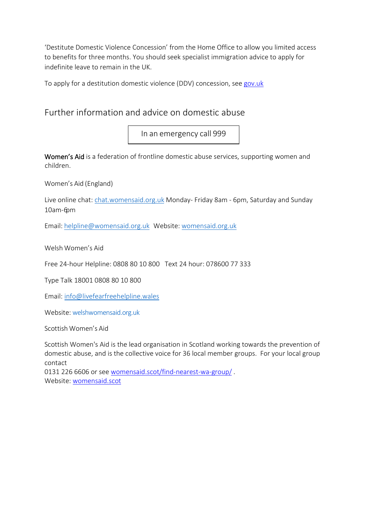'Destitute Domestic Violence Concession' from the Home Office to allow you limited access to benefits for three months. You should seek specialist immigration advice to apply for indefinite leave to remain in the UK.

To apply for a destitution domestic violence (DDV) concession, se[e gov.uk](https://www.gov.uk/government/publications/application-for-benefits-for-visa-holder-domestic-violence)

# Further information and advice on domestic abuse

In an emergency call 999

Women's Aid is a federation of frontline domestic abuse services, supporting women and children.

Women's Aid (England)

Live online chat: [chat.womensaid.org.uk](https://chat.womensaid.org.uk/) Monday- Friday 8am - 6pm, Saturday and Sunday 10am-6pm

Email: [helpline@womensaid.org.uk](mailto:helpline@womensaid.org.uk) Website: [womensaid.org.uk](https://www.womensaid.org.uk/)

Welsh Women's Aid

Free 24-hour Helpline: 0808 80 10 800 Text 24 hour: 078600 77 333

Type Talk 18001 0808 80 10 800

Email: [info@livefearfreehelpline.wales](mailto:info@livefearfreehelpline.wales)

Website: [welshwomensaid.org.uk](http://www.welshwomensaid.org.uk/) 

Scottish Women's Aid

Scottish Women's Aid is the lead organisation in Scotland working towards the prevention of domestic abuse, and is the collective voice for 36 local member groups. For your local group contact

0131 226 6606 or see [womensaid.scot/find-nearest-wa-group/](https://womensaid.scot/find-nearest-wa-group/) . Website: [womensaid.scot](https://womensaid.scot/find-nearest-wa-group/)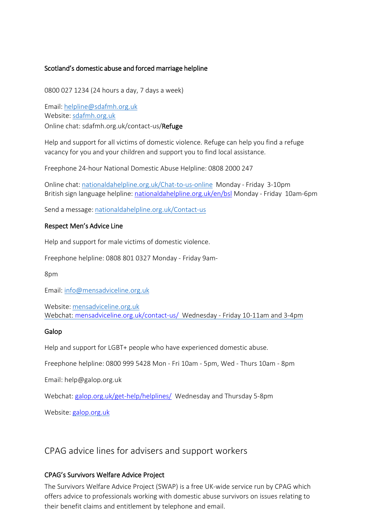#### Scotland's domestic abuse and forced marriage helpline

0800 027 1234 (24 hours a day, 7 days a week)

Email: [helpline@sdafmh.org.uk](mailto:helpline@sdafmh.org.uk) Website: [sdafmh.org.uk](http://www.sdafmh.org.uk/) Online chat: sdafmh.org.uk/contact-us/Refuge

Help and support for all victims of domestic violence. Refuge can help you find a refuge vacancy for you and your children and support you to find local assistance.

Freephone 24-hour National Domestic Abuse Helpline: 0808 2000 247

Online chat: [nationaldahelpline.org.uk/Chat-to-us-online](http://www.nationaldahelpline.org.uk/Chat-to-us-online) Monday - Friday 3-10pm British sign language helpline: [nationaldahelpline.org.uk/en/bsl](http://www.nationaldahelpline.org.uk/en/bsl) Monday - Friday 10am-6pm

Send a message: [nationaldahelpline.org.uk/Contact-us](http://www.nationaldahelpline.org.uk/Contact-us)

#### Respect Men's Advice Line

Help and support for male victims of domestic violence.

Freephone helpline: 0808 801 0327 Monday - Friday 9am-

8pm

Email: [info@mensadviceline.org.uk](mailto:info@mensadviceline.org.uk)

Website: [mensadviceline.org.uk](http://www.mensadviceline.org.uk/) Webchat: [mensadviceline.org.uk/contact-us/](https://mensadviceline.org.uk/contact-us/) Wednesday - Friday 10-11am and 3-4pm

#### Galop

Help and support for LGBT+ people who have experienced domestic abuse.

Freephone helpline: 0800 999 5428 Mon - Fri 10am - 5pm, Wed - Thurs 10am - 8pm

Email: help@galop.org.uk

Webchat: [galop.org.uk/get-help/helplines/](https://galop.org.uk/get-help/helplines/) Wednesday and Thursday 5-8pm

Website: [galop.org.uk](http://galop.org.uk/)

CPAG advice lines for advisers and support workers

#### CPAG's Survivors Welfare Advice Project

The Survivors Welfare Advice Project (SWAP) is a free UK-wide service run by CPAG which offers advice to professionals working with domestic abuse survivors on issues relating to their benefit claims and entitlement by telephone and email.